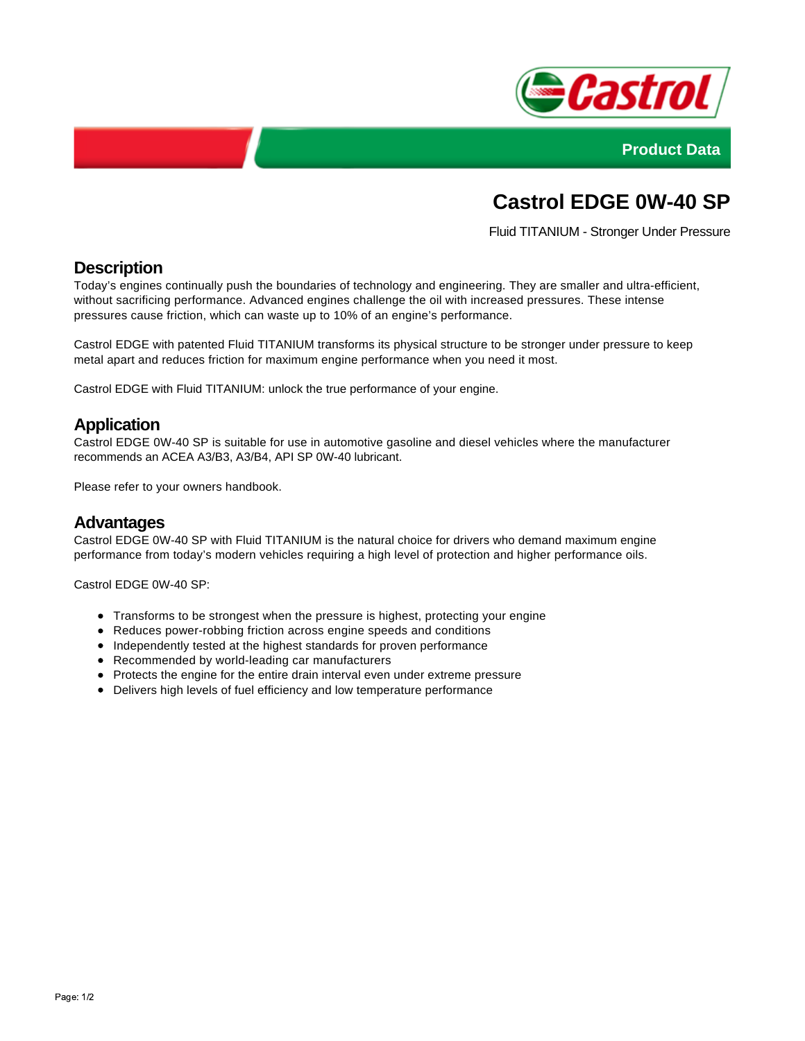



# **Castrol EDGE 0W-40 SP**

Fluid TITANIUM - Stronger Under Pressure

## **Description**

Today's engines continually push the boundaries of technology and engineering. They are smaller and ultra-efficient, without sacrificing performance. Advanced engines challenge the oil with increased pressures. These intense pressures cause friction, which can waste up to 10% of an engine's performance.

Castrol EDGE with patented Fluid TITANIUM transforms its physical structure to be stronger under pressure to keep metal apart and reduces friction for maximum engine performance when you need it most.

Castrol EDGE with Fluid TITANIUM: unlock the true performance of your engine.

## **Application**

Castrol EDGE 0W-40 SP is suitable for use in automotive gasoline and diesel vehicles where the manufacturer recommends an ACEA A3/B3, A3/B4, API SP 0W-40 lubricant.

Please refer to your owners handbook.

#### **Advantages**

Castrol EDGE 0W-40 SP with Fluid TITANIUM is the natural choice for drivers who demand maximum engine performance from today's modern vehicles requiring a high level of protection and higher performance oils.

Castrol EDGE 0W-40 SP:

- Transforms to be strongest when the pressure is highest, protecting your engine
- Reduces power-robbing friction across engine speeds and conditions
- Independently tested at the highest standards for proven performance
- Recommended by world-leading car manufacturers
- Protects the engine for the entire drain interval even under extreme pressure
- Delivers high levels of fuel efficiency and low temperature performance